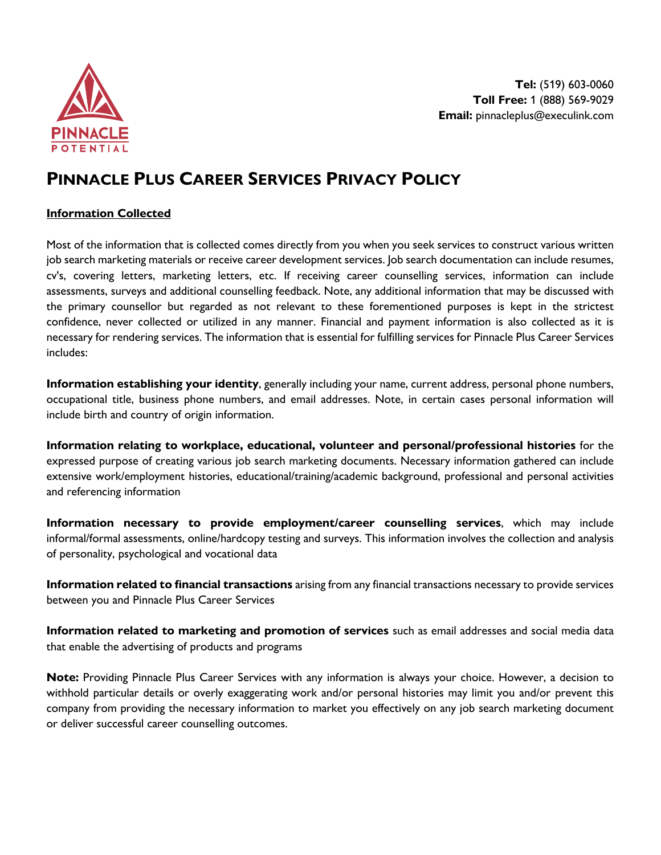

# **PINNACLE PLUS CAREER SERVICES PRIVACY POLICY**

### **Information Collected**

Most of the information that is collected comes directly from you when you seek services to construct various written job search marketing materials or receive career development services. Job search documentation can include resumes, cv's, covering letters, marketing letters, etc. If receiving career counselling services, information can include assessments, surveys and additional counselling feedback. Note, any additional information that may be discussed with the primary counsellor but regarded as not relevant to these forementioned purposes is kept in the strictest confidence, never collected or utilized in any manner. Financial and payment information is also collected as it is necessary for rendering services. The information that is essential for fulfilling services for Pinnacle Plus Career Services includes:

**Information establishing your identity**, generally including your name, current address, personal phone numbers, occupational title, business phone numbers, and email addresses. Note, in certain cases personal information will include birth and country of origin information.

**Information relating to workplace, educational, volunteer and personal/professional histories** for the expressed purpose of creating various job search marketing documents. Necessary information gathered can include extensive work/employment histories, educational/training/academic background, professional and personal activities and referencing information

**Information necessary to provide employment/career counselling services**, which may include informal/formal assessments, online/hardcopy testing and surveys. This information involves the collection and analysis of personality, psychological and vocational data

**Information related to financial transactions** arising from any financial transactions necessary to provide services between you and Pinnacle Plus Career Services

**Information related to marketing and promotion of services** such as email addresses and social media data that enable the advertising of products and programs

**Note:** Providing Pinnacle Plus Career Services with any information is always your choice. However, a decision to withhold particular details or overly exaggerating work and/or personal histories may limit you and/or prevent this company from providing the necessary information to market you effectively on any job search marketing document or deliver successful career counselling outcomes.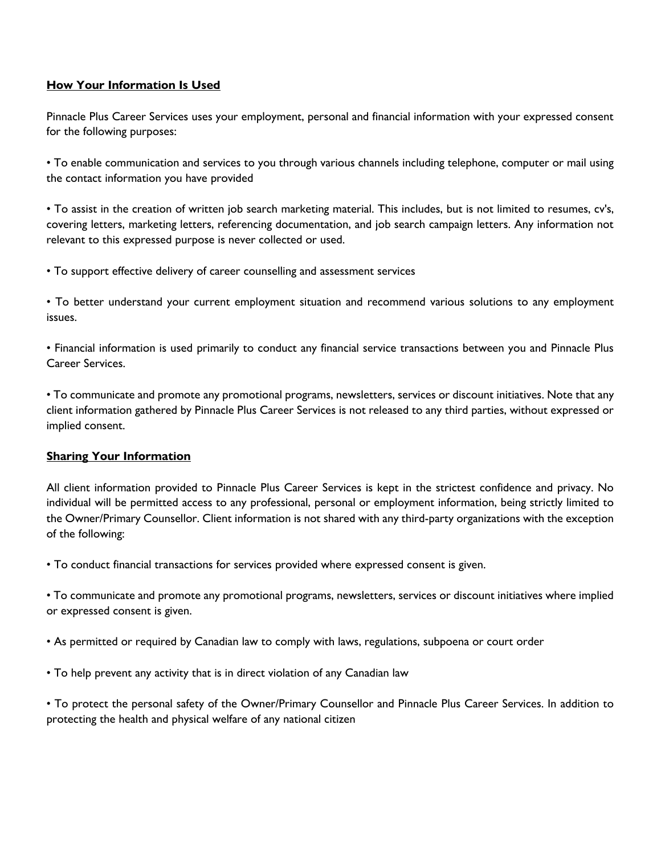# **How Your Information Is Used**

Pinnacle Plus Career Services uses your employment, personal and financial information with your expressed consent for the following purposes:

• To enable communication and services to you through various channels including telephone, computer or mail using the contact information you have provided

• To assist in the creation of written job search marketing material. This includes, but is not limited to resumes, cv's, covering letters, marketing letters, referencing documentation, and job search campaign letters. Any information not relevant to this expressed purpose is never collected or used.

• To support effective delivery of career counselling and assessment services

• To better understand your current employment situation and recommend various solutions to any employment issues.

• Financial information is used primarily to conduct any financial service transactions between you and Pinnacle Plus Career Services.

• To communicate and promote any promotional programs, newsletters, services or discount initiatives. Note that any client information gathered by Pinnacle Plus Career Services is not released to any third parties, without expressed or implied consent.

#### **Sharing Your Information**

All client information provided to Pinnacle Plus Career Services is kept in the strictest confidence and privacy. No individual will be permitted access to any professional, personal or employment information, being strictly limited to the Owner/Primary Counsellor. Client information is not shared with any third-party organizations with the exception of the following:

• To conduct financial transactions for services provided where expressed consent is given.

• To communicate and promote any promotional programs, newsletters, services or discount initiatives where implied or expressed consent is given.

• As permitted or required by Canadian law to comply with laws, regulations, subpoena or court order

• To help prevent any activity that is in direct violation of any Canadian law

• To protect the personal safety of the Owner/Primary Counsellor and Pinnacle Plus Career Services. In addition to protecting the health and physical welfare of any national citizen